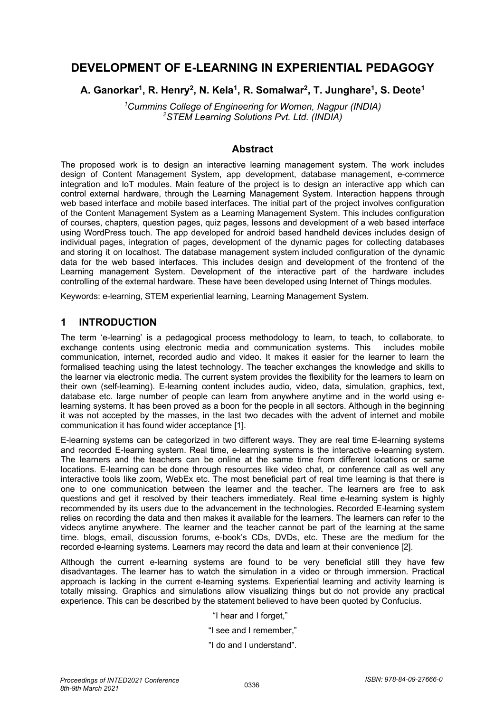# **DEVELOPMENT OF E-LEARNING IN EXPERIENTIAL PEDAGOGY**

**A. Ganorkar1, R. Henry2, N. Kela1, R. Somalwar2, T. Junghare1, S. Deote1**

*1 Cummins College of Engineering for Women, Nagpur (INDIA) 2 STEM Learning Solutions Pvt. Ltd. (INDIA)*

#### **Abstract**

The proposed work is to design an interactive learning management system. The work includes design of Content Management System, app development, database management, e-commerce integration and IoT modules. Main feature of the project is to design an interactive app which can control external hardware, through the Learning Management System. Interaction happens through web based interface and mobile based interfaces. The initial part of the project involves configuration of the Content Management System as a Learning Management System. This includes configuration of courses, chapters, question pages, quiz pages, lessons and development of a web based interface using WordPress touch. The app developed for android based handheld devices includes design of individual pages, integration of pages, development of the dynamic pages for collecting databases and storing it on localhost. The database management system included configuration of the dynamic data for the web based interfaces. This includes design and development of the frontend of the Learning management System. Development of the interactive part of the hardware includes controlling of the external hardware. These have been developed using Internet of Things modules.

Keywords: e-learning, STEM experiential learning, Learning Management System.

### **1 INTRODUCTION**

The term 'e-learning' is a pedagogical process methodology to learn, to teach, to collaborate, to exchange contents using electronic media and communication systems. This includes mobile communication, internet, recorded audio and video. It makes it easier for the learner to learn the formalised teaching using the latest technology. The teacher exchanges the knowledge and skills to the learner via electronic media. The current system provides the flexibility for the learners to learn on their own (self-learning). E-learning content includes audio, video, data, simulation, graphics, text, database etc. large number of people can learn from anywhere anytime and in the world using elearning systems. It has been proved as a boon for the people in all sectors. Although in the beginning it was not accepted by the masses, in the last two decades with the advent of internet and mobile communication it has found wider acceptance [1].

E-learning systems can be categorized in two different ways. They are real time E-learning systems and recorded E-learning system. Real time, e-learning systems is the interactive e-learning system. The learners and the teachers can be online at the same time from different locations or same locations. E-learning can be done through resources like video chat, or conference call as well any interactive tools like zoom, WebEx etc. The most beneficial part of real time learning is that there is one to one communication between the learner and the teacher. The learners are free to ask questions and get it resolved by their teachers immediately. Real time e-learning system is highly recommended by its users due to the advancement in the technologies**.** Recorded E-learning system relies on recording the data and then makes it available for the learners. The learners can refer to the videos anytime anywhere. The learner and the teacher cannot be part of the learning at the same time. blogs, email, discussion forums, e-book's CDs, DVDs, etc. These are the medium for the recorded e-learning systems. Learners may record the data and learn at their convenience [2].

Although the current e-learning systems are found to be very beneficial still they have few disadvantages. The learner has to watch the simulation in a video or through immersion. Practical approach is lacking in the current e-learning systems. Experiential learning and activity learning is totally missing. Graphics and simulations allow visualizing things but do not provide any practical experience. This can be described by the statement believed to have been quoted by Confucius.

"I hear and I forget,"

"I see and I remember,"

"I do and I understand".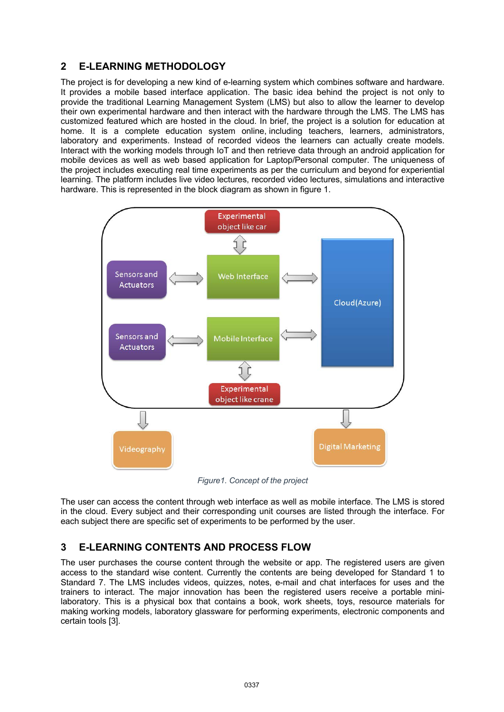## **2 E-LEARNING METHODOLOGY**

The project is for developing a new kind of e-learning system which combines software and hardware. It provides a mobile based interface application. The basic idea behind the project is not only to provide the traditional Learning Management System (LMS) but also to allow the learner to develop their own experimental hardware and then interact with the hardware through the LMS. The LMS has customized featured which are hosted in the cloud. In brief, the project is a solution for education at home. It is a complete education system online, including teachers, learners, administrators, laboratory and experiments. Instead of recorded videos the learners can actually create models. Interact with the working models through IoT and then retrieve data through an android application for mobile devices as well as web based application for Laptop/Personal computer. The uniqueness of the project includes executing real time experiments as per the curriculum and beyond for experiential learning. The platform includes live video lectures, recorded video lectures, simulations and interactive hardware. This is represented in the block diagram as shown in figure 1.



*Figure1. Concept of the project*

The user can access the content through web interface as well as mobile interface. The LMS is stored in the cloud. Every subject and their corresponding unit courses are listed through the interface. For each subject there are specific set of experiments to be performed by the user.

## **3 E-LEARNING CONTENTS AND PROCESS FLOW**

The user purchases the course content through the website or app. The registered users are given access to the standard wise content. Currently the contents are being developed for Standard 1 to Standard 7. The LMS includes videos, quizzes, notes, e-mail and chat interfaces for uses and the trainers to interact. The major innovation has been the registered users receive a portable minilaboratory. This is a physical box that contains a book, work sheets, toys, resource materials for making working models, laboratory glassware for performing experiments, electronic components and certain tools [3].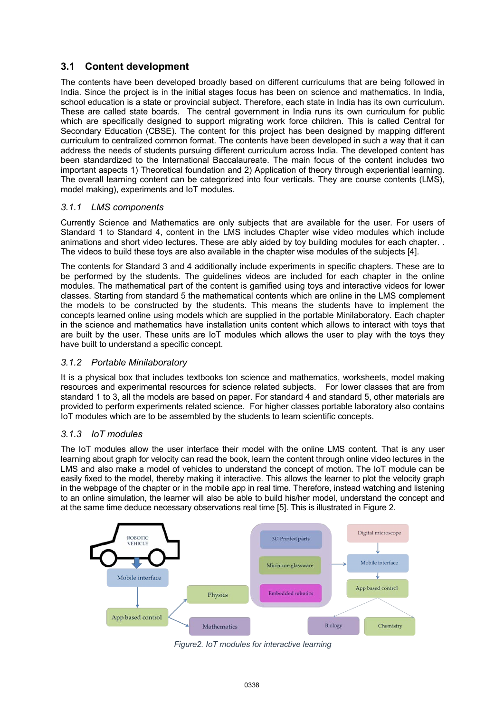## **3.1 Content development**

The contents have been developed broadly based on different curriculums that are being followed in India. Since the project is in the initial stages focus has been on science and mathematics. In India, school education is a state or provincial subject. Therefore, each state in India has its own curriculum. These are called state boards. The central government in India runs its own curriculum for public which are specifically designed to support migrating work force children. This is called Central for Secondary Education (CBSE). The content for this project has been designed by mapping different curriculum to centralized common format. The contents have been developed in such a way that it can address the needs of students pursuing different curriculum across India. The developed content has been standardized to the International Baccalaureate. The main focus of the content includes two important aspects 1) Theoretical foundation and 2) Application of theory through experiential learning. The overall learning content can be categorized into four verticals. They are course contents (LMS), model making), experiments and IoT modules.

#### *3.1.1 LMS components*

Currently Science and Mathematics are only subjects that are available for the user. For users of Standard 1 to Standard 4, content in the LMS includes Chapter wise video modules which include animations and short video lectures. These are ably aided by toy building modules for each chapter. . The videos to build these toys are also available in the chapter wise modules of the subjects [4].

The contents for Standard 3 and 4 additionally include experiments in specific chapters. These are to be performed by the students. The guidelines videos are included for each chapter in the online modules. The mathematical part of the content is gamified using toys and interactive videos for lower classes. Starting from standard 5 the mathematical contents which are online in the LMS complement the models to be constructed by the students. This means the students have to implement the concepts learned online using models which are supplied in the portable Minilaboratory. Each chapter in the science and mathematics have installation units content which allows to interact with toys that are built by the user. These units are IoT modules which allows the user to play with the toys they have built to understand a specific concept.

#### *3.1.2 Portable Minilaboratory*

It is a physical box that includes textbooks ton science and mathematics, worksheets, model making resources and experimental resources for science related subjects. For lower classes that are from standard 1 to 3, all the models are based on paper. For standard 4 and standard 5, other materials are provided to perform experiments related science. For higher classes portable laboratory also contains IoT modules which are to be assembled by the students to learn scientific concepts.

#### *3.1.3 IoT modules*

The IoT modules allow the user interface their model with the online LMS content. That is any user learning about graph for velocity can read the book, learn the content through online video lectures in the LMS and also make a model of vehicles to understand the concept of motion. The IoT module can be easily fixed to the model, thereby making it interactive. This allows the learner to plot the velocity graph in the webpage of the chapter or in the mobile app in real time. Therefore, instead watching and listening to an online simulation, the learner will also be able to build his/her model, understand the concept and at the same time deduce necessary observations real time [5]. This is illustrated in Figure 2.



*Figure2. IoT modules for interactive learning*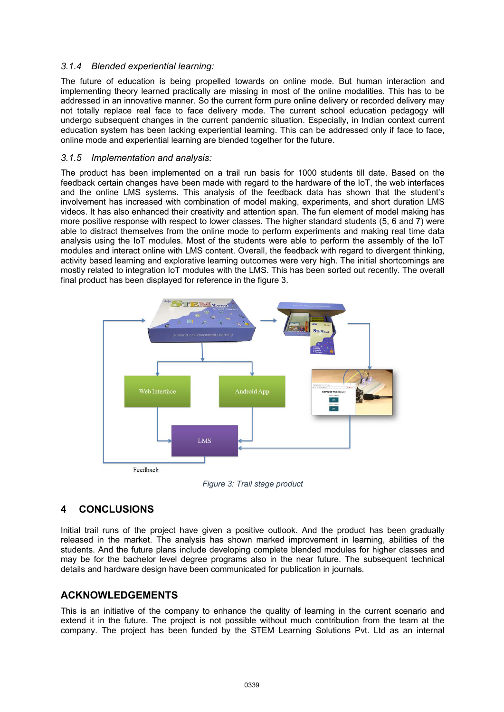#### *3.1.4 Blended experiential learning:*

The future of education is being propelled towards on online mode. But human interaction and implementing theory learned practically are missing in most of the online modalities. This has to be addressed in an innovative manner. So the current form pure online delivery or recorded delivery may not totally replace real face to face delivery mode. The current school education pedagogy will undergo subsequent changes in the current pandemic situation. Especially, in Indian context current education system has been lacking experiential learning. This can be addressed only if face to face, online mode and experiential learning are blended together for the future.

#### *3.1.5 Implementation and analysis:*

The product has been implemented on a trail run basis for 1000 students till date. Based on the feedback certain changes have been made with regard to the hardware of the IoT, the web interfaces and the online LMS systems. This analysis of the feedback data has shown that the student's involvement has increased with combination of model making, experiments, and short duration LMS videos. It has also enhanced their creativity and attention span. The fun element of model making has more positive response with respect to lower classes. The higher standard students (5, 6 and 7) were able to distract themselves from the online mode to perform experiments and making real time data analysis using the IoT modules. Most of the students were able to perform the assembly of the IoT modules and interact online with LMS content. Overall, the feedback with regard to divergent thinking, activity based learning and explorative learning outcomes were very high. The initial shortcomings are mostly related to integration IoT modules with the LMS. This has been sorted out recently. The overall final product has been displayed for reference in the figure 3.



*Figure 3: Trail stage product*

## **4 CONCLUSIONS**

Initial trail runs of the project have given a positive outlook. And the product has been gradually released in the market. The analysis has shown marked improvement in learning, abilities of the students. And the future plans include developing complete blended modules for higher classes and may be for the bachelor level degree programs also in the near future. The subsequent technical details and hardware design have been communicated for publication in journals.

### **ACKNOWLEDGEMENTS**

This is an initiative of the company to enhance the quality of learning in the current scenario and extend it in the future. The project is not possible without much contribution from the team at the company. The project has been funded by the STEM Learning Solutions Pvt. Ltd as an internal